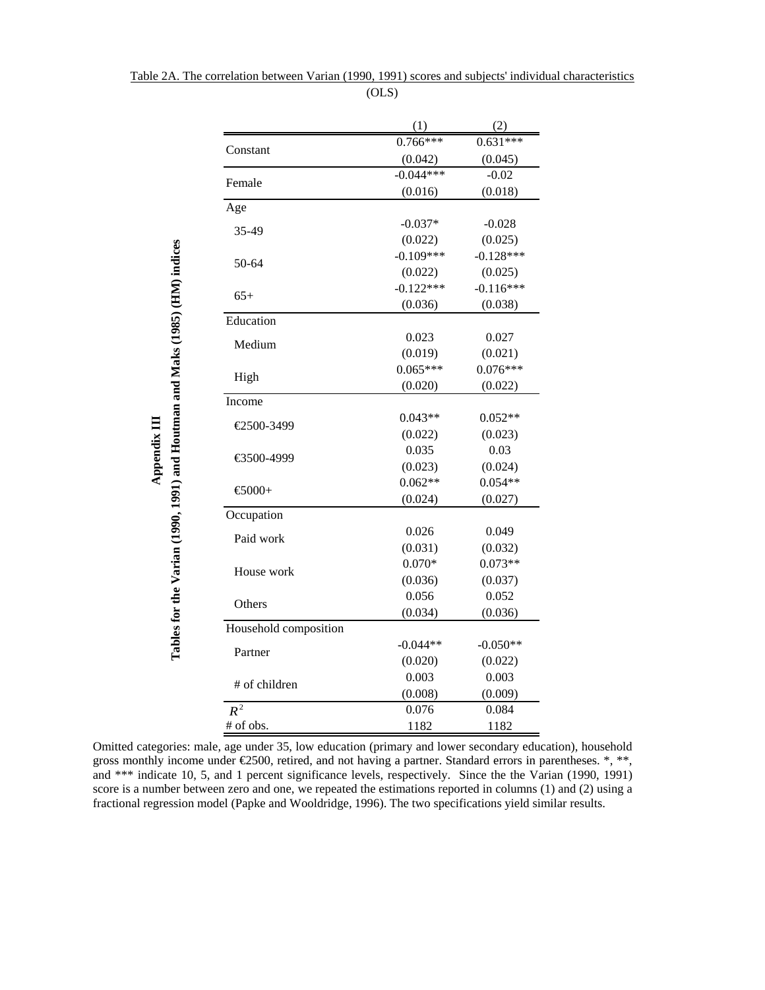|                                                                             |                       | (1)              | (2)              |
|-----------------------------------------------------------------------------|-----------------------|------------------|------------------|
|                                                                             | Constant              | $0.766***$       | $0.631***$       |
|                                                                             |                       | (0.042)          | (0.045)          |
|                                                                             | Female                | $-0.044***$      | $-0.02$          |
|                                                                             |                       | (0.016)          | (0.018)          |
|                                                                             | Age                   |                  |                  |
|                                                                             | 35-49                 | $-0.037*$        | $-0.028$         |
|                                                                             |                       | (0.022)          | (0.025)          |
|                                                                             | 50-64                 | $-0.109***$      | $-0.128***$      |
|                                                                             |                       | (0.022)          | (0.025)          |
|                                                                             | $65+$                 | $-0.122***$      | $-0.116***$      |
|                                                                             |                       | (0.036)          | (0.038)          |
|                                                                             | Education             |                  |                  |
|                                                                             | Medium                | 0.023            | 0.027            |
|                                                                             |                       | (0.019)          | (0.021)          |
|                                                                             | High                  | $0.065***$       | $0.076***$       |
|                                                                             |                       | (0.020)          | (0.022)          |
|                                                                             | Income                |                  |                  |
|                                                                             | €2500-3499            | $0.043**$        | $0.052**$        |
|                                                                             |                       | (0.022)          | (0.023)          |
|                                                                             | €3500-4999            | 0.035            | 0.03             |
|                                                                             |                       | (0.023)          | (0.024)          |
|                                                                             | $-6000+$              | $0.062**$        | $0.054**$        |
|                                                                             |                       | (0.024)          | (0.027)          |
|                                                                             | Occupation            |                  |                  |
|                                                                             | Paid work             | 0.026<br>(0.031) | 0.049<br>(0.032) |
|                                                                             |                       | $0.070*$         | $0.073**$        |
|                                                                             | House work            | (0.036)          | (0.037)          |
|                                                                             |                       | 0.056            | 0.052            |
|                                                                             | Others                | (0.034)          | (0.036)          |
|                                                                             | Household composition |                  |                  |
| Tables for the Varian (1990, 1991) and Houtman and Maks (1985) (HM) indices |                       | $-0.044**$       | $-0.050**$       |
|                                                                             | Partner               | (0.020)          | (0.022)          |
|                                                                             |                       | 0.003            | 0.003            |
|                                                                             | # of children         | (0.008)          | (0.009)          |
|                                                                             | $R^{\frac{1}{2}}$     | 0.076            | 0.084            |
|                                                                             | # of obs.             | 1182             | 1182             |

**Appendix III**

Appendix III

Table 2A. The correlation between Varian (1990, 1991) scores and subjects' individual characteristics (OLS)

Omitted categories: male, age under 35, low education (primary and lower secondary education), household gross monthly income under  $\epsilon$ 2500, retired, and not having a partner. Standard errors in parentheses.  $*, **$ and \*\*\* indicate 10, 5, and 1 percent significance levels, respectively. Since the the Varian (1990, 1991) score is a number between zero and one, we repeated the estimations reported in columns (1) and (2) using a fractional regression model (Papke and Wooldridge, 1996). The two specifications yield similar results.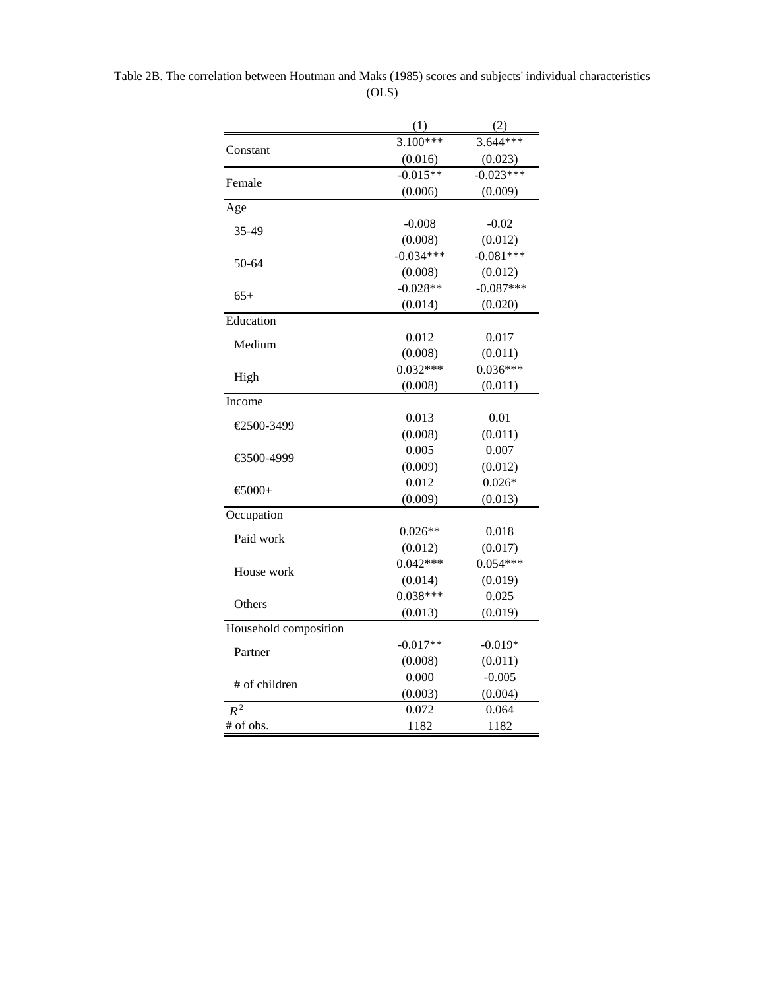|                       | (1)         | (2)         |
|-----------------------|-------------|-------------|
|                       | $3.100***$  | $3.644***$  |
| Constant              | (0.016)     | (0.023)     |
|                       | $-0.015**$  | $-0.023***$ |
| Female                | (0.006)     | (0.009)     |
| Age                   |             |             |
| 35-49                 | $-0.008$    | $-0.02$     |
|                       | (0.008)     | (0.012)     |
| 50-64                 | $-0.034***$ | $-0.081***$ |
|                       | (0.008)     | (0.012)     |
| $65+$                 | $-0.028**$  | $-0.087***$ |
|                       | (0.014)     | (0.020)     |
| Education             |             |             |
| Medium                | 0.012       | 0.017       |
|                       | (0.008)     | (0.011)     |
|                       | $0.032***$  | $0.036***$  |
| High                  | (0.008)     | (0.011)     |
| Income                |             |             |
| €2500-3499            | 0.013       | 0.01        |
|                       | (0.008)     | (0.011)     |
|                       | 0.005       | 0.007       |
| €3500-4999            | (0.009)     | (0.012)     |
| €5000+                | 0.012       | $0.026*$    |
|                       | (0.009)     | (0.013)     |
| Occupation            |             |             |
| Paid work             | $0.026**$   | 0.018       |
|                       | (0.012)     | (0.017)     |
| House work            | $0.042***$  | $0.054***$  |
|                       | (0.014)     | (0.019)     |
| Others                | $0.038***$  | 0.025       |
|                       | (0.013)     | (0.019)     |
| Household composition |             |             |
|                       | $-0.017**$  | $-0.019*$   |
| Partner               | (0.008)     | (0.011)     |
| # of children         | 0.000       | $-0.005$    |
|                       | (0.003)     | (0.004)     |
| $R^{\frac{1}{2}}$     | 0.072       | 0.064       |
| # of obs.             | 1182        | 1182        |

Table 2B. The correlation between Houtman and Maks (1985) scores and subjects' individual characteristics (OLS)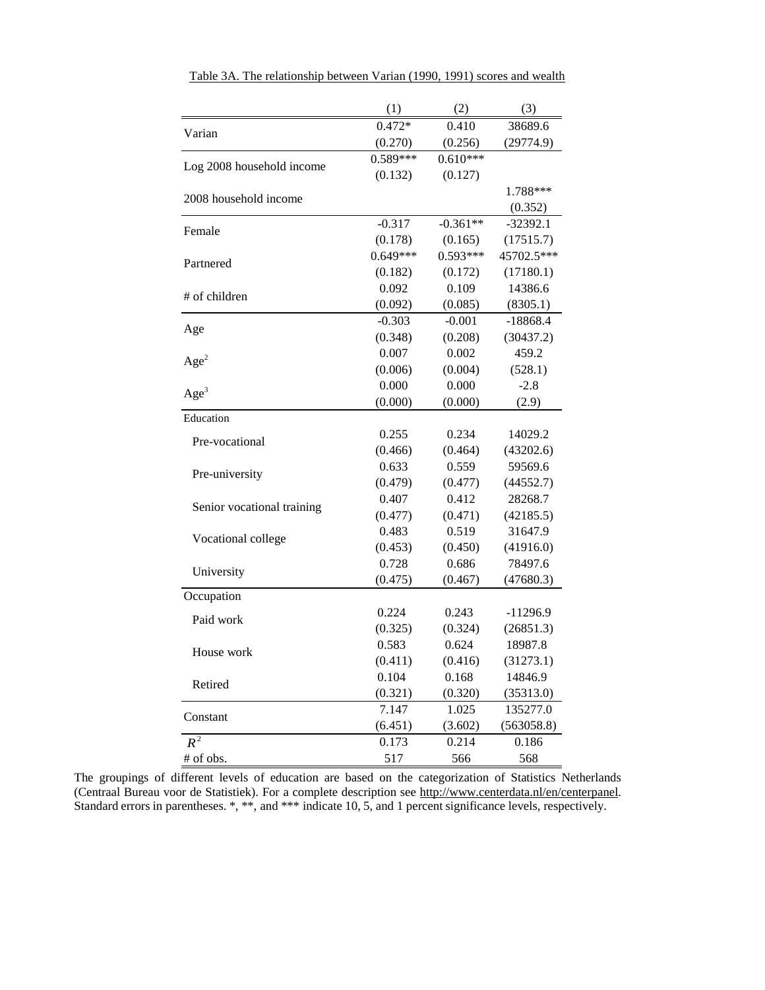|                            | (1)        | (2)        | (3)        |
|----------------------------|------------|------------|------------|
| Varian                     | $0.472*$   | 0.410      | 38689.6    |
|                            | (0.270)    | (0.256)    | (29774.9)  |
| Log 2008 household income  | 0.589***   | $0.610***$ |            |
|                            | (0.132)    | (0.127)    |            |
| 2008 household income      |            |            | 1.788***   |
|                            |            |            | (0.352)    |
| Female                     | $-0.317$   | $-0.361**$ | $-32392.1$ |
|                            | (0.178)    | (0.165)    | (17515.7)  |
| Partnered                  | $0.649***$ | $0.593***$ | 45702.5*** |
|                            | (0.182)    | (0.172)    | (17180.1)  |
| # of children              | 0.092      | 0.109      | 14386.6    |
|                            | (0.092)    | (0.085)    | (8305.1)   |
|                            | $-0.303$   | $-0.001$   | $-18868.4$ |
| Age                        | (0.348)    | (0.208)    | (30437.2)  |
|                            | 0.007      | 0.002      | 459.2      |
| Age <sup>2</sup>           | (0.006)    | (0.004)    | (528.1)    |
| Age <sup>3</sup>           | 0.000      | 0.000      | $-2.8$     |
|                            | (0.000)    | (0.000)    | (2.9)      |
| Education                  |            |            |            |
| Pre-vocational             | 0.255      | 0.234      | 14029.2    |
|                            | (0.466)    | (0.464)    | (43202.6)  |
| Pre-university             | 0.633      | 0.559      | 59569.6    |
|                            | (0.479)    | (0.477)    | (44552.7)  |
|                            | 0.407      | 0.412      | 28268.7    |
| Senior vocational training | (0.477)    | (0.471)    | (42185.5)  |
|                            | 0.483      | 0.519      | 31647.9    |
| Vocational college         | (0.453)    | (0.450)    | (41916.0)  |
|                            | 0.728      | 0.686      | 78497.6    |
| University                 | (0.475)    | (0.467)    | (47680.3)  |
| Occupation                 |            |            |            |
| Paid work                  | 0.224      | 0.243      | $-11296.9$ |
|                            | (0.325)    | (0.324)    | (26851.3)  |
|                            | 0.583      | 0.624      | 18987.8    |
| House work                 | (0.411)    | (0.416)    | (31273.1)  |
| Retired                    | 0.104      | 0.168      | 14846.9    |
|                            | (0.321)    | (0.320)    | (35313.0)  |
|                            | 7.147      | 1.025      | 135277.0   |
| Constant                   | (6.451)    | (3.602)    | (563058.8) |
| $R^2$                      | 0.173      | 0.214      | 0.186      |
| # of obs.                  | 517        | 566        | 568        |

Table 3A. The relationship between Varian (1990, 1991) scores and wealth

The groupings of different levels of education are based on the categorization of Statistics Netherlands (Centraal Bureau voor de Statistiek). For a complete description see http://www.centerdata.nl/en/centerpanel. Standard errors in parentheses. \*, \*\*, and \*\*\* indicate 10, 5, and 1 percent significance levels, respectively.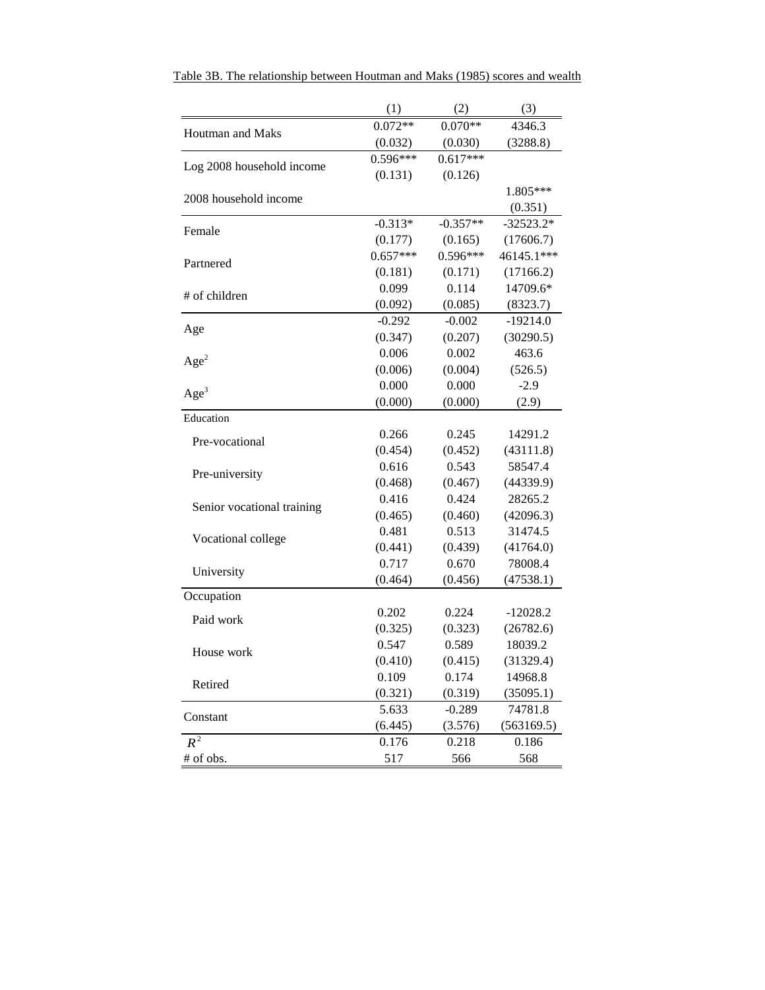|                            | (1)        | (2)        | (3)         |
|----------------------------|------------|------------|-------------|
| Houtman and Maks           | $0.072**$  | $0.070**$  | 4346.3      |
|                            | (0.032)    | (0.030)    | (3288.8)    |
|                            | $0.596***$ | $0.617***$ |             |
| Log 2008 household income  | (0.131)    | (0.126)    |             |
| 2008 household income      |            |            | 1.805***    |
|                            |            |            | (0.351)     |
| Female                     | $-0.313*$  | $-0.357**$ | $-32523.2*$ |
|                            | (0.177)    | (0.165)    | (17606.7)   |
| Partnered                  | $0.657***$ | $0.596***$ | 46145.1***  |
|                            | (0.181)    | (0.171)    | (17166.2)   |
| # of children              | 0.099      | 0.114      | 14709.6*    |
|                            | (0.092)    | (0.085)    | (8323.7)    |
|                            | $-0.292$   | $-0.002$   | $-19214.0$  |
| Age                        | (0.347)    | (0.207)    | (30290.5)   |
| Age <sup>2</sup>           | 0.006      | 0.002      | 463.6       |
|                            | (0.006)    | (0.004)    | (526.5)     |
| Age <sup>3</sup>           | 0.000      | 0.000      | $-2.9$      |
|                            | (0.000)    | (0.000)    | (2.9)       |
| Education                  |            |            |             |
| Pre-vocational             | 0.266      | 0.245      | 14291.2     |
|                            | (0.454)    | (0.452)    | (43111.8)   |
| Pre-university             | 0.616      | 0.543      | 58547.4     |
|                            | (0.468)    | (0.467)    | (44339.9)   |
| Senior vocational training | 0.416      | 0.424      | 28265.2     |
|                            | (0.465)    | (0.460)    | (42096.3)   |
| Vocational college         | 0.481      | 0.513      | 31474.5     |
|                            | (0.441)    | (0.439)    | (41764.0)   |
| University                 | 0.717      | 0.670      | 78008.4     |
|                            | (0.464)    | (0.456)    | (47538.1)   |
| Occupation                 |            |            |             |
| Paid work                  | 0.202      | 0.224      | $-12028.2$  |
|                            | (0.325)    | (0.323)    | (26782.6)   |
| House work                 | 0.547      | 0.589      | 18039.2     |
|                            | (0.410)    | (0.415)    | (31329.4)   |
| Retired                    | 0.109      | 0.174      | 14968.8     |
|                            | (0.321)    | (0.319)    | (35095.1)   |
| Constant                   | 5.633      | $-0.289$   | 74781.8     |
|                            | (6.445)    | (3.576)    | (563169.5)  |
| $R^{\frac{1}{2}}$          | 0.176      | 0.218      | 0.186       |
| # of obs.                  | 517        | 566        | 568         |

Table 3B. The relationship between Houtman and Maks (1985) scores and wealth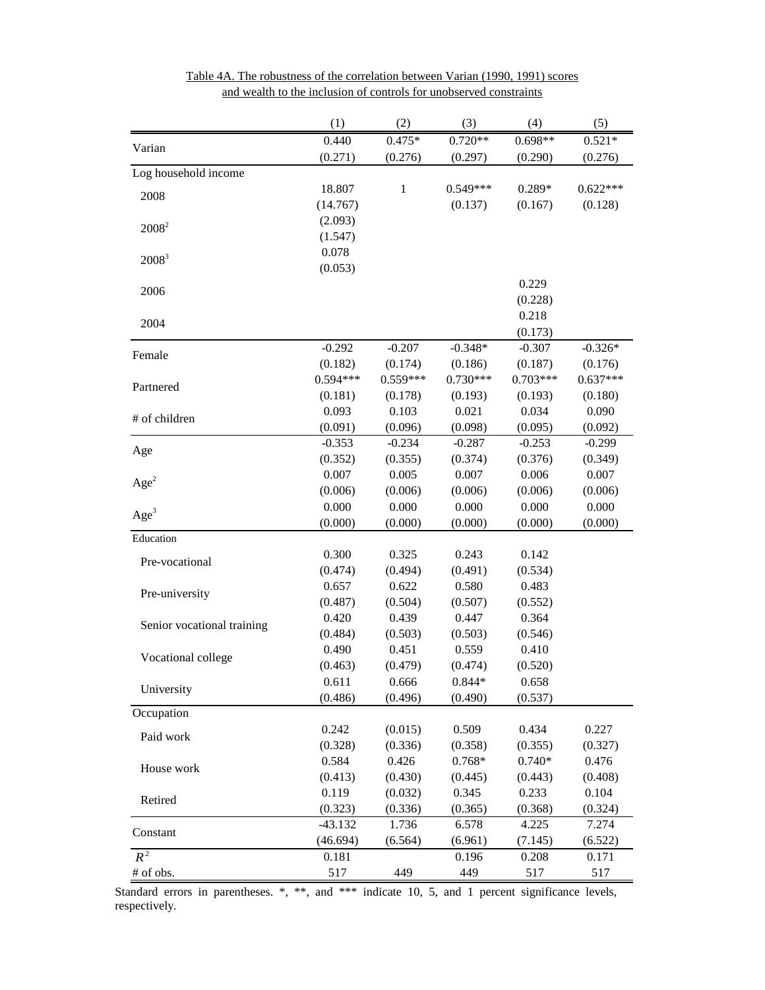|                            | (1)        | (2)          | (3)        | (4)        | (5)        |
|----------------------------|------------|--------------|------------|------------|------------|
| Varian                     | 0.440      | $0.475*$     | $0.720**$  | $0.698**$  | $0.521*$   |
|                            | (0.271)    | (0.276)      | (0.297)    | (0.290)    | (0.276)    |
| Log household income       |            |              |            |            |            |
| 2008                       | 18.807     | $\mathbf{1}$ | $0.549***$ | $0.289*$   | $0.622***$ |
|                            | (14.767)   |              | (0.137)    | (0.167)    | (0.128)    |
| $2008^2$                   | (2.093)    |              |            |            |            |
|                            | (1.547)    |              |            |            |            |
| $2008^3$                   | 0.078      |              |            |            |            |
|                            | (0.053)    |              |            |            |            |
| 2006                       |            |              |            | 0.229      |            |
|                            |            |              |            | (0.228)    |            |
| 2004                       |            |              |            | 0.218      |            |
|                            |            |              |            | (0.173)    |            |
| Female                     | $-0.292$   | $-0.207$     | $-0.348*$  | $-0.307$   | $-0.326*$  |
|                            | (0.182)    | (0.174)      | (0.186)    | (0.187)    | (0.176)    |
| Partnered                  | $0.594***$ | $0.559***$   | $0.730***$ | $0.703***$ | $0.637***$ |
|                            | (0.181)    | (0.178)      | (0.193)    | (0.193)    | (0.180)    |
| # of children              | 0.093      | 0.103        | 0.021      | 0.034      | 0.090      |
|                            | (0.091)    | (0.096)      | (0.098)    | (0.095)    | (0.092)    |
| Age                        | $-0.353$   | $-0.234$     | $-0.287$   | $-0.253$   | $-0.299$   |
|                            | (0.352)    | (0.355)      | (0.374)    | (0.376)    | (0.349)    |
| Age <sup>2</sup>           | 0.007      | 0.005        | 0.007      | 0.006      | 0.007      |
|                            | (0.006)    | (0.006)      | (0.006)    | (0.006)    | (0.006)    |
| Age <sup>3</sup>           | 0.000      | 0.000        | 0.000      | 0.000      | 0.000      |
|                            | (0.000)    | (0.000)      | (0.000)    | (0.000)    | (0.000)    |
| Education                  |            |              |            |            |            |
| Pre-vocational             | 0.300      | 0.325        | 0.243      | 0.142      |            |
|                            | (0.474)    | (0.494)      | (0.491)    | (0.534)    |            |
| Pre-university             | 0.657      | 0.622        | 0.580      | 0.483      |            |
|                            | (0.487)    | (0.504)      | (0.507)    | (0.552)    |            |
| Senior vocational training | 0.420      | 0.439        | 0.447      | 0.364      |            |
|                            | (0.484)    | (0.503)      | (0.503)    | (0.546)    |            |
| Vocational college         | 0.490      | 0.451        | 0.559      | 0.410      |            |
|                            | (0.463)    | (0.479)      | (0.474)    | (0.520)    |            |
| University                 | 0.611      | 0.666        | $0.844*$   | 0.658      |            |
|                            | (0.486)    | (0.496)      | (0.490)    | (0.537)    |            |
| Occupation                 |            |              |            |            |            |
| Paid work                  | 0.242      | (0.015)      | 0.509      | 0.434      | 0.227      |
|                            | (0.328)    | (0.336)      | (0.358)    | (0.355)    | (0.327)    |
| House work                 | 0.584      | 0.426        | $0.768*$   | $0.740*$   | 0.476      |
|                            | (0.413)    | (0.430)      | (0.445)    | (0.443)    | (0.408)    |
| Retired                    | 0.119      | (0.032)      | 0.345      | 0.233      | 0.104      |
|                            | (0.323)    | (0.336)      | (0.365)    | (0.368)    | (0.324)    |
| Constant                   | $-43.132$  | 1.736        | 6.578      | 4.225      | 7.274      |
|                            | (46.694)   | (6.564)      | (6.961)    | (7.145)    | (6.522)    |
| $R^2$                      | 0.181      |              | 0.196      | 0.208      | 0.171      |
| # of obs.                  | 517        | 449          | 449        | 517        | 517        |

Table 4A. The robustness of the correlation between Varian (1990, 1991) scores and wealth to the inclusion of controls for unobserved constraints

Standard errors in parentheses. \*, \*\*, and \*\*\* indicate 10, 5, and 1 percent significance levels, respectively.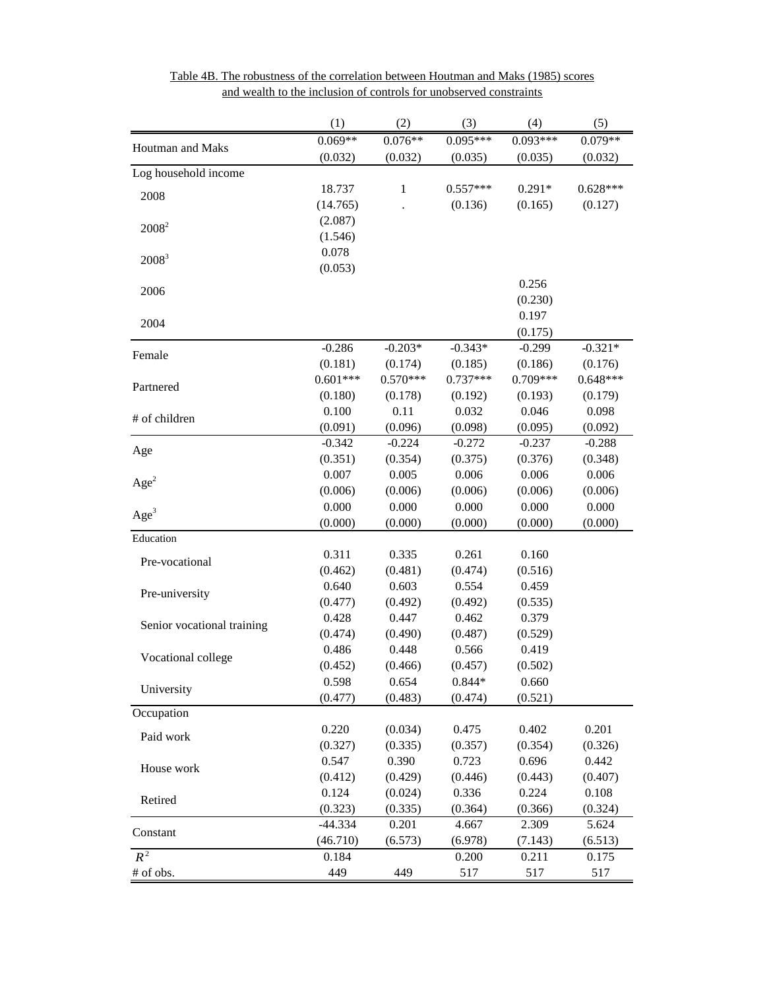|                            | (1)        | (2)          | (3)        | (4)        | (5)        |
|----------------------------|------------|--------------|------------|------------|------------|
| Houtman and Maks           | $0.069**$  | $0.076**$    | $0.095***$ | $0.093***$ | $0.079**$  |
|                            | (0.032)    | (0.032)      | (0.035)    | (0.035)    | (0.032)    |
| Log household income       |            |              |            |            |            |
| 2008                       | 18.737     | $\mathbf{1}$ | $0.557***$ | $0.291*$   | $0.628***$ |
|                            | (14.765)   |              | (0.136)    | (0.165)    | (0.127)    |
| $2008^2$                   | (2.087)    |              |            |            |            |
|                            | (1.546)    |              |            |            |            |
| $2008^3$                   | 0.078      |              |            |            |            |
|                            | (0.053)    |              |            |            |            |
| 2006                       |            |              |            | 0.256      |            |
|                            |            |              |            | (0.230)    |            |
| 2004                       |            |              |            | 0.197      |            |
|                            |            |              |            | (0.175)    |            |
| Female                     | $-0.286$   | $-0.203*$    | $-0.343*$  | $-0.299$   | $-0.321*$  |
|                            | (0.181)    | (0.174)      | (0.185)    | (0.186)    | (0.176)    |
| Partnered                  | $0.601***$ | $0.570***$   | $0.737***$ | 0.709***   | $0.648***$ |
|                            | (0.180)    | (0.178)      | (0.192)    | (0.193)    | (0.179)    |
| # of children              | 0.100      | 0.11         | 0.032      | 0.046      | 0.098      |
|                            | (0.091)    | (0.096)      | (0.098)    | (0.095)    | (0.092)    |
| Age                        | $-0.342$   | $-0.224$     | $-0.272$   | $-0.237$   | $-0.288$   |
|                            | (0.351)    | (0.354)      | (0.375)    | (0.376)    | (0.348)    |
| Age <sup>2</sup>           | 0.007      | 0.005        | 0.006      | 0.006      | 0.006      |
|                            | (0.006)    | (0.006)      | (0.006)    | (0.006)    | (0.006)    |
| Age <sup>3</sup>           | 0.000      | 0.000        | 0.000      | 0.000      | 0.000      |
|                            | (0.000)    | (0.000)      | (0.000)    | (0.000)    | (0.000)    |
| Education                  |            |              |            |            |            |
| Pre-vocational             | 0.311      | 0.335        | 0.261      | 0.160      |            |
|                            | (0.462)    | (0.481)      | (0.474)    | (0.516)    |            |
| Pre-university             | 0.640      | 0.603        | 0.554      | 0.459      |            |
|                            | (0.477)    | (0.492)      | (0.492)    | (0.535)    |            |
| Senior vocational training | 0.428      | 0.447        | 0.462      | 0.379      |            |
|                            | (0.474)    | (0.490)      | (0.487)    | (0.529)    |            |
| Vocational college         | 0.486      | 0.448        | 0.566      | 0.419      |            |
|                            | (0.452)    | (0.466)      | (0.457)    | (0.502)    |            |
| University                 | 0.598      | 0.654        | $0.844*$   | 0.660      |            |
|                            | (0.477)    | (0.483)      | (0.474)    | (0.521)    |            |
| Occupation                 |            |              |            |            |            |
| Paid work                  | 0.220      | (0.034)      | 0.475      | 0.402      | 0.201      |
|                            | (0.327)    | (0.335)      | (0.357)    | (0.354)    | (0.326)    |
| House work                 | 0.547      | 0.390        | 0.723      | 0.696      | 0.442      |
|                            | (0.412)    | (0.429)      | (0.446)    | (0.443)    | (0.407)    |
| Retired                    | 0.124      | (0.024)      | 0.336      | 0.224      | 0.108      |
|                            | (0.323)    | (0.335)      | (0.364)    | (0.366)    | (0.324)    |
| Constant                   | -44.334    | 0.201        | 4.667      | 2.309      | 5.624      |
|                            | (46.710)   | (6.573)      | (6.978)    | (7.143)    | (6.513)    |
| $R^2$                      | 0.184      |              | 0.200      | 0.211      | 0.175      |
| # of obs.                  | 449        | 449          | 517        | 517        | 517        |

Table 4B. The robustness of the correlation between Houtman and Maks (1985) scores and wealth to the inclusion of controls for unobserved constraints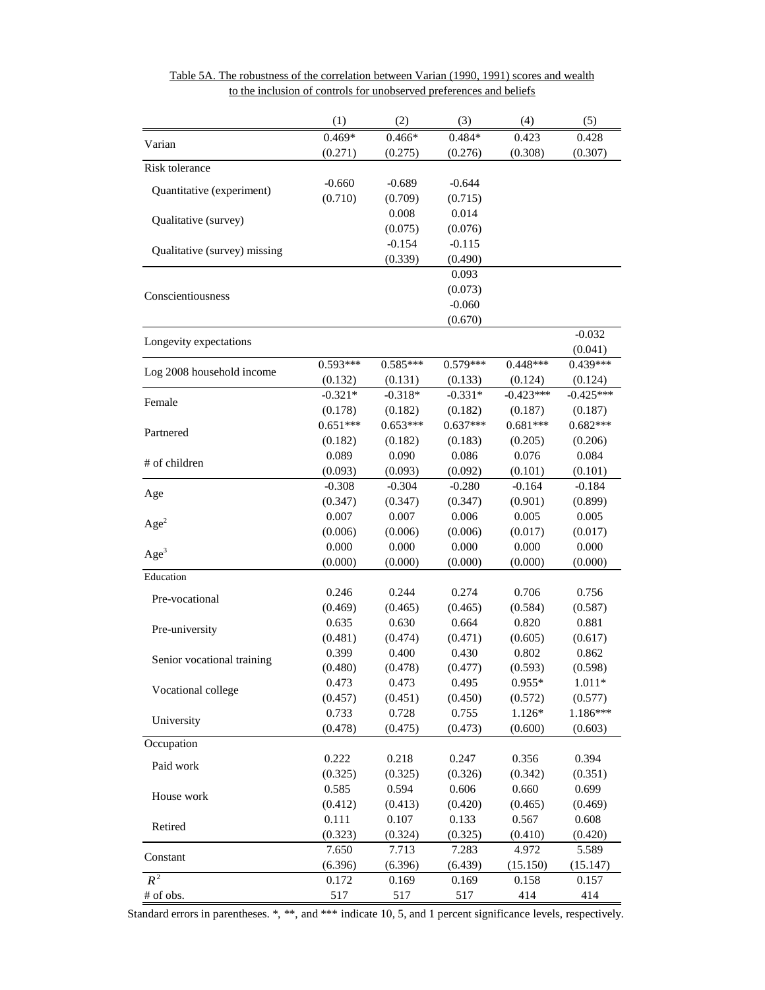|                              | (1)              | (2)          | (3)          | (4)          | (5)         |
|------------------------------|------------------|--------------|--------------|--------------|-------------|
| Varian                       | $0.469*$         | $0.466*$     | $0.484*$     | 0.423        | 0.428       |
|                              | (0.271)          | (0.275)      | (0.276)      | (0.308)      | (0.307)     |
| Risk tolerance               |                  |              |              |              |             |
| Quantitative (experiment)    | $-0.660$         | $-0.689$     | $-0.644$     |              |             |
|                              | (0.710)          | (0.709)      | (0.715)      |              |             |
| Qualitative (survey)         |                  | 0.008        | 0.014        |              |             |
|                              |                  | (0.075)      | (0.076)      |              |             |
| Qualitative (survey) missing |                  | $-0.154$     | $-0.115$     |              |             |
|                              |                  | (0.339)      | (0.490)      |              |             |
|                              |                  |              | 0.093        |              |             |
| Conscientiousness            |                  |              | (0.073)      |              |             |
|                              |                  |              | $-0.060$     |              |             |
|                              |                  |              | (0.670)      |              |             |
| Longevity expectations       |                  |              |              |              | $-0.032$    |
|                              |                  |              |              |              | (0.041)     |
| Log 2008 household income    | $0.593***$       | $0.585***$   | $0.579***$   | $0.448***$   | 0.439***    |
|                              | (0.132)          | (0.131)      | (0.133)      | (0.124)      | (0.124)     |
| Female                       | $-0.321*$        | $-0.318*$    | $-0.331*$    | $-0.423***$  | $-0.425***$ |
|                              | (0.178)          | (0.182)      | (0.182)      | (0.187)      | (0.187)     |
| Partnered                    | $0.651***$       | $0.653***$   | $0.637***$   | $0.681***$   | $0.682***$  |
|                              | (0.182)          | (0.182)      | (0.183)      | (0.205)      | (0.206)     |
| # of children                | 0.089            | 0.090        | 0.086        | 0.076        | 0.084       |
|                              | (0.093)          | (0.093)      | (0.092)      | (0.101)      | (0.101)     |
| Age                          | $-0.308$         | $-0.304$     | $-0.280$     | $-0.164$     | $-0.184$    |
|                              | (0.347)          | (0.347)      | (0.347)      | (0.901)      | (0.899)     |
| Age <sup>2</sup>             | 0.007            | 0.007        | 0.006        | 0.005        | 0.005       |
|                              | (0.006)          | (0.006)      | (0.006)      | (0.017)      | (0.017)     |
| Age <sup>3</sup>             | 0.000            | 0.000        | 0.000        | 0.000        | 0.000       |
|                              | (0.000)          | (0.000)      | (0.000)      | (0.000)      | (0.000)     |
| Education                    |                  |              |              |              |             |
| Pre-vocational               | 0.246            | 0.244        | 0.274        | 0.706        | 0.756       |
|                              | (0.469)          | (0.465)      | (0.465)      | (0.584)      | (0.587)     |
| Pre-university               | 0.635            | 0.630        | 0.664        | 0.820        | 0.881       |
|                              | (0.481)          | (0.474)      | (0.471)      | (0.605)      | (0.617)     |
| Senior vocational training   | 0.399            | 0.400        | 0.430        | 0.802        | 0.862       |
|                              | (0.480)          | (0.478)      | (0.477)      | (0.593)      | (0.598)     |
| Vocational college           | 0.473            | 0.473        | 0.495        | $0.955*$     | $1.011*$    |
|                              | (0.457)          | (0.451)      | (0.450)      | (0.572)      | (0.577)     |
| University                   | 0.733            | 0.728        | 0.755        | 1.126*       | 1.186***    |
|                              | (0.478)          | (0.475)      | (0.473)      | (0.600)      | (0.603)     |
| Occupation                   |                  |              |              |              |             |
| Paid work                    | 0.222            | 0.218        | 0.247        | 0.356        | 0.394       |
|                              | (0.325)          | (0.325)      | (0.326)      | (0.342)      | (0.351)     |
| House work                   | 0.585            | 0.594        | 0.606        | 0.660        | 0.699       |
|                              | (0.412)          | (0.413)      | (0.420)      | (0.465)      | (0.469)     |
| Retired                      | 0.111            | 0.107        | 0.133        | 0.567        | 0.608       |
|                              | (0.323)          | (0.324)      | (0.325)      | (0.410)      | (0.420)     |
| Constant                     | 7.650            | 7.713        | 7.283        | 4.972        | 5.589       |
| $R^2$                        | (6.396)<br>0.172 | (6.396)      | (6.439)      | (15.150)     | (15.147)    |
|                              | 517              | 0.169<br>517 | 0.169<br>517 | 0.158<br>414 | 0.157       |
| # of obs.                    |                  |              |              |              | 414         |

to the inclusion of controls for unobserved preferences and beliefs Table 5A. The robustness of the correlation between Varian (1990, 1991) scores and wealth

Standard errors in parentheses. \*, \*\*, and \*\*\* indicate 10, 5, and 1 percent significance levels, respectively.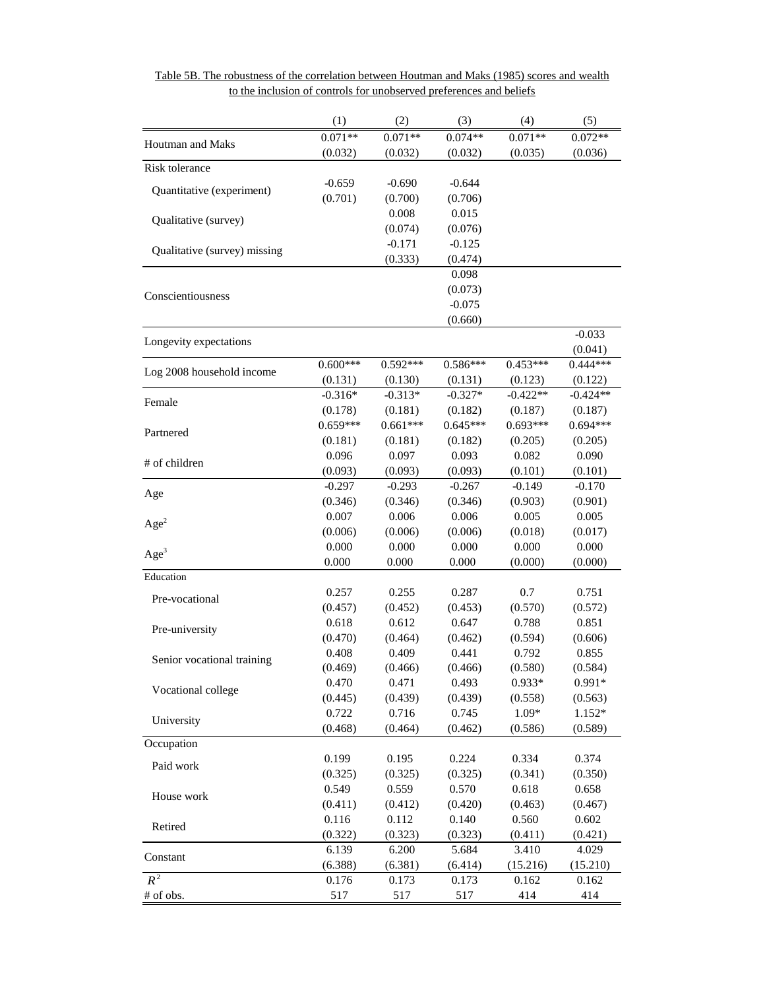|                              | (1)        | (2)        | (3)              | (4)        | (5)        |
|------------------------------|------------|------------|------------------|------------|------------|
| Houtman and Maks             | $0.071**$  | $0.071**$  | $0.074**$        | $0.071**$  | $0.072**$  |
|                              | (0.032)    | (0.032)    | (0.032)          | (0.035)    | (0.036)    |
| Risk tolerance               |            |            |                  |            |            |
| Quantitative (experiment)    | $-0.659$   | $-0.690$   | $-0.644$         |            |            |
|                              | (0.701)    | (0.700)    | (0.706)          |            |            |
| Qualitative (survey)         |            | 0.008      | 0.015            |            |            |
|                              |            | (0.074)    | (0.076)          |            |            |
| Qualitative (survey) missing |            | $-0.171$   | $-0.125$         |            |            |
|                              |            | (0.333)    | (0.474)<br>0.098 |            |            |
|                              |            |            | (0.073)          |            |            |
| Conscientiousness            |            |            | $-0.075$         |            |            |
|                              |            |            | (0.660)          |            |            |
|                              |            |            |                  |            | $-0.033$   |
| Longevity expectations       |            |            |                  |            | (0.041)    |
|                              | $0.600***$ | $0.592***$ | $0.586***$       | $0.453***$ | $0.444***$ |
| Log 2008 household income    | (0.131)    | (0.130)    | (0.131)          | (0.123)    | (0.122)    |
|                              | $-0.316*$  | $-0.313*$  | $-0.327*$        | $-0.422**$ | $-0.424**$ |
| Female                       | (0.178)    | (0.181)    | (0.182)          | (0.187)    | (0.187)    |
|                              | $0.659***$ | $0.661***$ | $0.645***$       | $0.693***$ | $0.694***$ |
| Partnered                    | (0.181)    | (0.181)    | (0.182)          | (0.205)    | (0.205)    |
|                              | 0.096      | 0.097      | 0.093            | 0.082      | 0.090      |
| # of children                | (0.093)    | (0.093)    | (0.093)          | (0.101)    | (0.101)    |
|                              | $-0.297$   | $-0.293$   | $-0.267$         | $-0.149$   | $-0.170$   |
| Age                          | (0.346)    | (0.346)    | (0.346)          | (0.903)    | (0.901)    |
|                              | 0.007      | 0.006      | 0.006            | 0.005      | 0.005      |
| Age <sup>2</sup>             | (0.006)    | (0.006)    | (0.006)          | (0.018)    | (0.017)    |
|                              | 0.000      | 0.000      | 0.000            | 0.000      | 0.000      |
| Age <sup>3</sup>             | 0.000      | 0.000      | 0.000            | (0.000)    | (0.000)    |
| Education                    |            |            |                  |            |            |
|                              | 0.257      | 0.255      | 0.287            | 0.7        | 0.751      |
| Pre-vocational               | (0.457)    | (0.452)    | (0.453)          | (0.570)    | (0.572)    |
|                              | 0.618      | 0.612      | 0.647            | 0.788      | 0.851      |
| Pre-university               | (0.470)    | (0.464)    | (0.462)          | (0.594)    | (0.606)    |
|                              | 0.408      | 0.409      | 0.441            | 0.792      | 0.855      |
| Senior vocational training   | (0.469)    | (0.466)    | (0.466)          | (0.580)    | (0.584)    |
| Vocational college           | 0.470      | 0.471      | 0.493            | 0.933*     | 0.991*     |
|                              | (0.445)    | (0.439)    | (0.439)          | (0.558)    | (0.563)    |
| University                   | 0.722      | 0.716      | 0.745            | 1.09*      | 1.152*     |
|                              | (0.468)    | (0.464)    | (0.462)          | (0.586)    | (0.589)    |
| Occupation                   |            |            |                  |            |            |
| Paid work                    | 0.199      | 0.195      | 0.224            | 0.334      | 0.374      |
|                              | (0.325)    | (0.325)    | (0.325)          | (0.341)    | (0.350)    |
| House work                   | 0.549      | 0.559      | 0.570            | 0.618      | 0.658      |
|                              | (0.411)    | (0.412)    | (0.420)          | (0.463)    | (0.467)    |
| Retired                      | 0.116      | 0.112      | 0.140            | 0.560      | 0.602      |
|                              | (0.322)    | (0.323)    | (0.323)          | (0.411)    | (0.421)    |
| Constant                     | 6.139      | 6.200      | 5.684            | 3.410      | 4.029      |
|                              | (6.388)    | (6.381)    | (6.414)          | (15.216)   | (15.210)   |
| $R^2$                        | 0.176      | 0.173      | 0.173            | 0.162      | 0.162      |
| # of obs.                    | 517        | 517        | 517              | 414        | 414        |

Table 5B. The robustness of the correlation between Houtman and Maks (1985) scores and wealth to the inclusion of controls for unobserved preferences and beliefs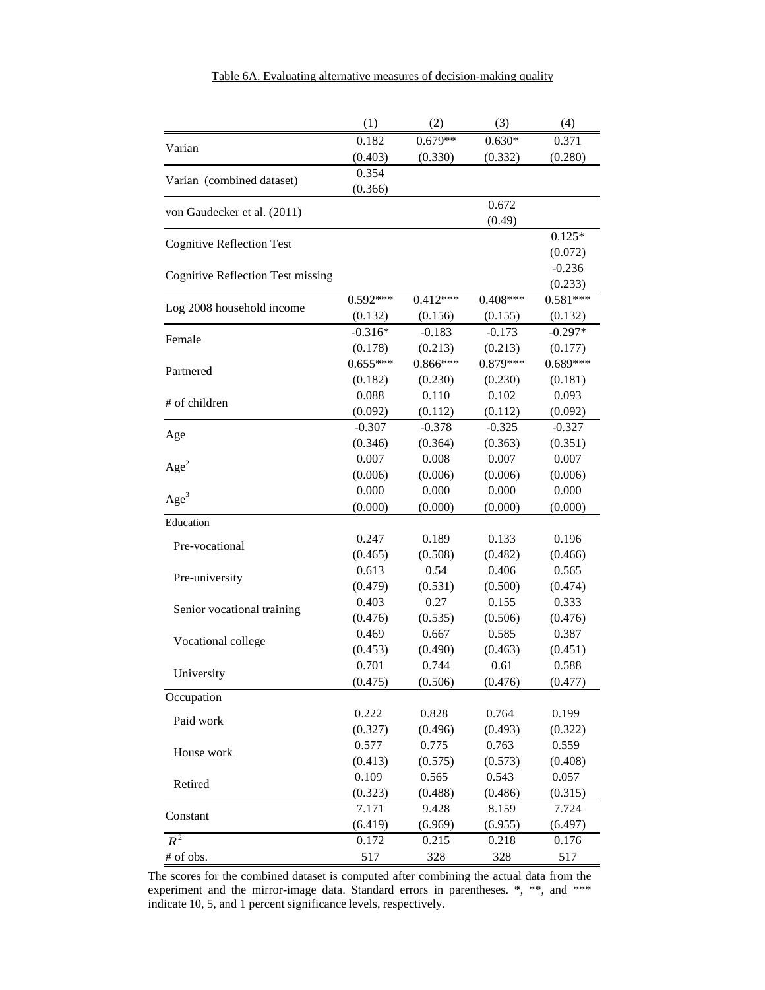|                                          | (1)              | (2)              | (3)              | (4)                   |
|------------------------------------------|------------------|------------------|------------------|-----------------------|
| Varian                                   | 0.182            | $0.679**$        | $0.630*$         | 0.371                 |
|                                          | (0.403)          | (0.330)          | (0.332)          | (0.280)               |
| Varian (combined dataset)                | 0.354            |                  |                  |                       |
|                                          | (0.366)          |                  |                  |                       |
| von Gaudecker et al. (2011)              |                  |                  | 0.672            |                       |
|                                          |                  |                  | (0.49)           |                       |
| <b>Cognitive Reflection Test</b>         |                  |                  |                  | $0.125*$              |
|                                          |                  |                  |                  | (0.072)               |
| <b>Cognitive Reflection Test missing</b> |                  |                  |                  | $-0.236$              |
|                                          | $0.592***$       | $0.412***$       | $0.408***$       | (0.233)<br>$0.581***$ |
| Log 2008 household income                | (0.132)          | (0.156)          | (0.155)          | (0.132)               |
|                                          | $-0.316*$        | $-0.183$         | $-0.173$         | $-0.297*$             |
| Female                                   | (0.178)          | (0.213)          | (0.213)          | (0.177)               |
|                                          | $0.655***$       | $0.866***$       | $0.879***$       | $0.689***$            |
| Partnered                                | (0.182)          | (0.230)          | (0.230)          | (0.181)               |
|                                          | 0.088            | 0.110            | 0.102            | 0.093                 |
| # of children                            | (0.092)          | (0.112)          | (0.112)          | (0.092)               |
|                                          | $-0.307$         | $-0.378$         | $-0.325$         | $-0.327$              |
| Age                                      | (0.346)          | (0.364)          | (0.363)          | (0.351)               |
|                                          | 0.007            | 0.008            | 0.007            | 0.007                 |
| Age <sup>2</sup>                         | (0.006)          | (0.006)          | (0.006)          | (0.006)               |
|                                          | 0.000            | 0.000            | 0.000            | 0.000                 |
| Age <sup>3</sup>                         | (0.000)          | (0.000)          | (0.000)          | (0.000)               |
| Education                                |                  |                  |                  |                       |
| Pre-vocational                           | 0.247            | 0.189            | 0.133            | 0.196                 |
|                                          | (0.465)          | (0.508)          | (0.482)          | (0.466)               |
| Pre-university                           | 0.613            | 0.54             | 0.406            | 0.565                 |
|                                          | (0.479)          | (0.531)          | (0.500)          | (0.474)               |
| Senior vocational training               | 0.403            | 0.27             | 0.155            | 0.333                 |
|                                          | (0.476)          | (0.535)          | (0.506)          | (0.476)               |
| Vocational college                       | 0.469            | 0.667            | 0.585            | 0.387                 |
|                                          | (0.453)          | (0.490)          | (0.463)          | (0.451)               |
| University                               | 0.701            | 0.744            | 0.61             | 0.588                 |
|                                          | (0.475)          | (0.506)          | (0.476)          | (0.477)               |
| Occupation                               |                  |                  |                  |                       |
| Paid work                                | 0.222            | 0.828            | 0.764            | 0.199                 |
|                                          | (0.327)          | (0.496)          | (0.493)          | (0.322)               |
| House work                               | 0.577            | 0.775            | 0.763<br>(0.573) | 0.559                 |
|                                          | (0.413)<br>0.109 | (0.575)<br>0.565 | 0.543            | (0.408)<br>0.057      |
| Retired                                  | (0.323)          | (0.488)          | (0.486)          | (0.315)               |
|                                          | 7.171            | 9.428            | 8.159            | 7.724                 |
| Constant                                 | (6.419)          | (6.969)          | (6.955)          | (6.497)               |
| $R^2$                                    | 0.172            | 0.215            | 0.218            | 0.176                 |
| # of obs.                                | 517              | 328              | 328              | 517                   |
|                                          |                  |                  |                  |                       |

The scores for the combined dataset is computed after combining the actual data from the experiment and the mirror-image data. Standard errors in parentheses.  $*, **$ , and  $***$ indicate 10, 5, and 1 percent significance levels, respectively.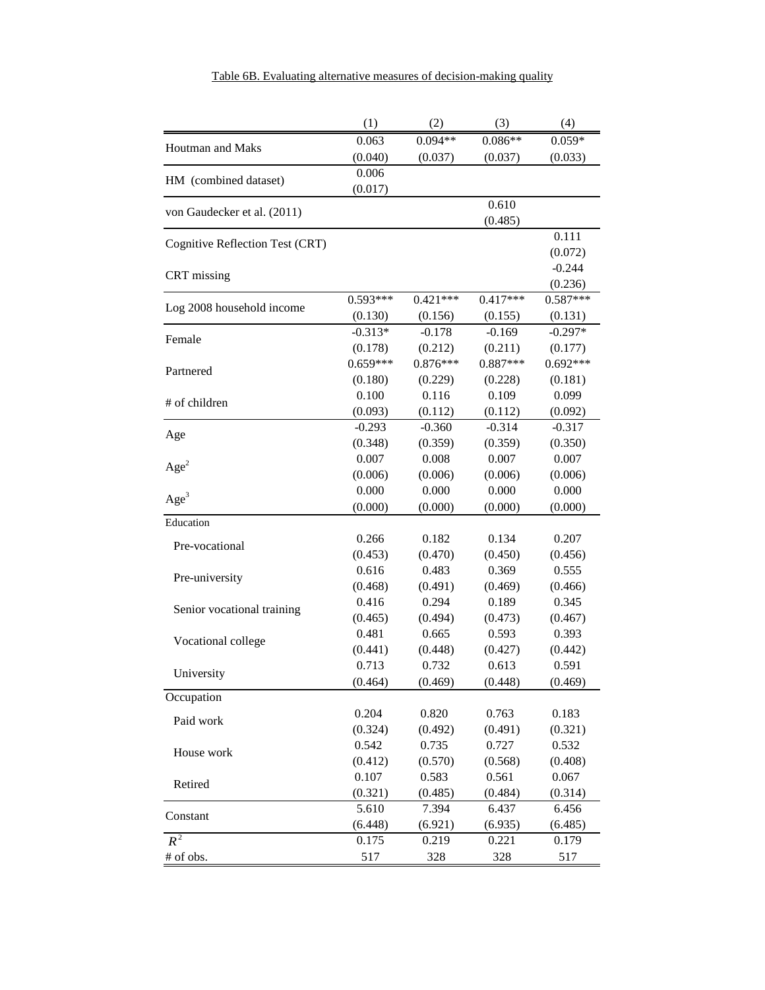|                                 | (1)                  | (2)                 | (3)                 | (4)                   |
|---------------------------------|----------------------|---------------------|---------------------|-----------------------|
| <b>Houtman and Maks</b>         | 0.063                | $0.094**$           | $0.086**$           | $0.059*$              |
|                                 | (0.040)              | (0.037)             | (0.037)             | (0.033)               |
| HM (combined dataset)           | 0.006                |                     |                     |                       |
|                                 | (0.017)              |                     |                     |                       |
| von Gaudecker et al. (2011)     |                      |                     | 0.610               |                       |
|                                 |                      |                     | (0.485)             |                       |
| Cognitive Reflection Test (CRT) |                      |                     |                     | 0.111                 |
|                                 |                      |                     |                     | (0.072)               |
| CRT missing                     |                      |                     |                     | $-0.244$              |
|                                 |                      |                     |                     | (0.236)               |
| Log 2008 household income       | $0.593***$           | $0.421***$          | $0.417***$          | $0.587***$            |
|                                 | (0.130)              | (0.156)<br>$-0.178$ | (0.155)<br>$-0.169$ | (0.131)               |
| Female                          | $-0.313*$<br>(0.178) | (0.212)             | (0.211)             | $-0.297*$             |
|                                 | $0.659***$           | $0.876***$          | $0.887***$          | (0.177)<br>$0.692***$ |
| Partnered                       | (0.180)              | (0.229)             | (0.228)             | (0.181)               |
|                                 | 0.100                | 0.116               | 0.109               | 0.099                 |
| # of children                   | (0.093)              | (0.112)             | (0.112)             | (0.092)               |
|                                 | $-0.293$             | $-0.360$            | $-0.314$            | $-0.317$              |
| Age                             | (0.348)              | (0.359)             | (0.359)             | (0.350)               |
|                                 | 0.007                | 0.008               | 0.007               | 0.007                 |
| Age <sup>2</sup>                | (0.006)              | (0.006)             | (0.006)             | (0.006)               |
|                                 | 0.000                | 0.000               | 0.000               | 0.000                 |
| Age <sup>3</sup>                | (0.000)              | (0.000)             | (0.000)             | (0.000)               |
| Education                       |                      |                     |                     |                       |
|                                 | 0.266                | 0.182               | 0.134               | 0.207                 |
| Pre-vocational                  | (0.453)              | (0.470)             | (0.450)             | (0.456)               |
| Pre-university                  | 0.616                | 0.483               | 0.369               | 0.555                 |
|                                 | (0.468)              | (0.491)             | (0.469)             | (0.466)               |
| Senior vocational training      | 0.416                | 0.294               | 0.189               | 0.345                 |
|                                 | (0.465)              | (0.494)             | (0.473)             | (0.467)               |
| Vocational college              | 0.481                | 0.665               | 0.593               | 0.393                 |
|                                 | (0.441)              | (0.448)             | (0.427)             | (0.442)               |
| University                      | 0.713                | 0.732               | 0.613               | 0.591                 |
|                                 | (0.464)              | (0.469)             | (0.448)             | (0.469)               |
| Occupation                      |                      |                     |                     |                       |
| Paid work                       | 0.204                | 0.820               | 0.763               | 0.183                 |
|                                 | (0.324)              | (0.492)             | (0.491)             | (0.321)               |
| House work                      | 0.542                | 0.735               | 0.727               | 0.532                 |
|                                 | (0.412)              | (0.570)             | (0.568)             | (0.408)               |
| Retired                         | 0.107                | 0.583               | 0.561               | 0.067                 |
|                                 | (0.321)              | (0.485)             | (0.484)             | (0.314)               |
| Constant                        | 5.610                | 7.394               | 6.437               | 6.456                 |
| $R^2$                           | (6.448)              | (6.921)             | (6.935)             | (6.485)               |
|                                 | 0.175<br>517         | 0.219<br>328        | 0.221<br>328        | 0.179<br>517          |
| # of obs.                       |                      |                     |                     |                       |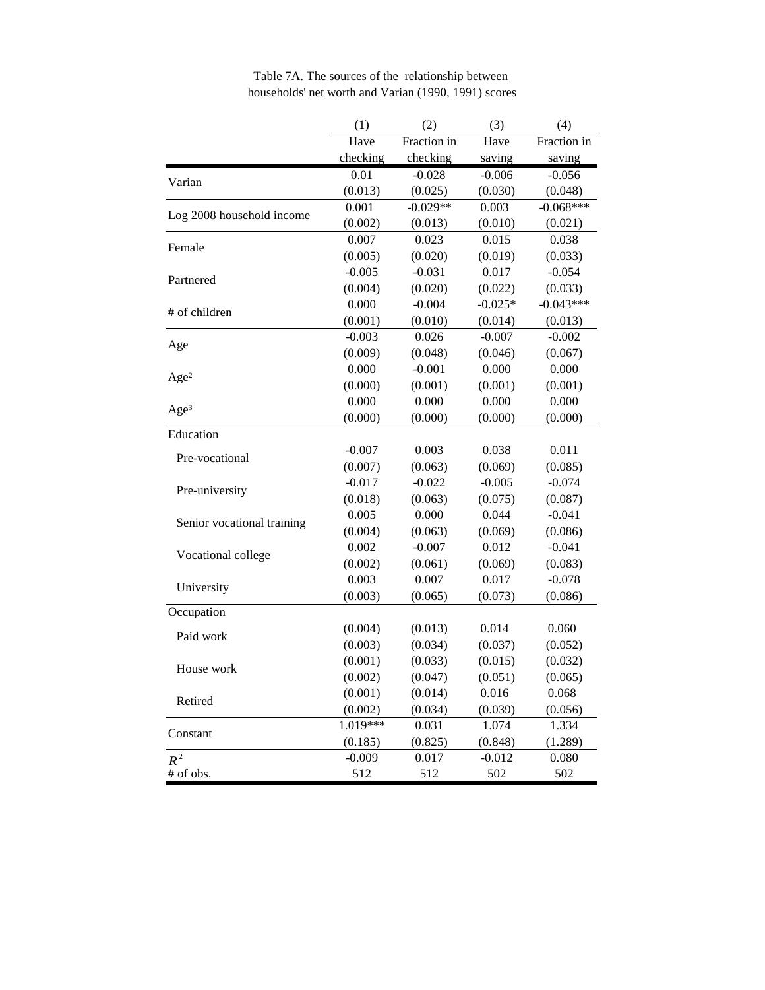|                            | (1)      | (2)         | (3)       | (4)         |
|----------------------------|----------|-------------|-----------|-------------|
|                            | Have     | Fraction in | Have      | Fraction in |
|                            | checking | checking    | saving    | saving      |
|                            | 0.01     | $-0.028$    | $-0.006$  | $-0.056$    |
| Varian                     | (0.013)  | (0.025)     | (0.030)   | (0.048)     |
|                            | 0.001    | $-0.029**$  | 0.003     | $-0.068***$ |
| Log 2008 household income  | (0.002)  | (0.013)     | (0.010)   | (0.021)     |
| Female                     | 0.007    | 0.023       | 0.015     | 0.038       |
|                            | (0.005)  | (0.020)     | (0.019)   | (0.033)     |
| Partnered                  | $-0.005$ | $-0.031$    | 0.017     | $-0.054$    |
|                            | (0.004)  | (0.020)     | (0.022)   | (0.033)     |
| # of children              | 0.000    | $-0.004$    | $-0.025*$ | $-0.043***$ |
|                            | (0.001)  | (0.010)     | (0.014)   | (0.013)     |
| Age                        | $-0.003$ | 0.026       | $-0.007$  | $-0.002$    |
|                            | (0.009)  | (0.048)     | (0.046)   | (0.067)     |
| Age <sup>2</sup>           | 0.000    | $-0.001$    | 0.000     | 0.000       |
|                            | (0.000)  | (0.001)     | (0.001)   | (0.001)     |
| Age <sup>3</sup>           | 0.000    | 0.000       | 0.000     | 0.000       |
|                            | (0.000)  | (0.000)     | (0.000)   | (0.000)     |
| Education                  |          |             |           |             |
| Pre-vocational             | $-0.007$ | 0.003       | 0.038     | 0.011       |
|                            | (0.007)  | (0.063)     | (0.069)   | (0.085)     |
| Pre-university             | $-0.017$ | $-0.022$    | $-0.005$  | $-0.074$    |
|                            | (0.018)  | (0.063)     | (0.075)   | (0.087)     |
| Senior vocational training | 0.005    | 0.000       | 0.044     | $-0.041$    |
|                            | (0.004)  | (0.063)     | (0.069)   | (0.086)     |
| Vocational college         | 0.002    | $-0.007$    | 0.012     | $-0.041$    |
|                            | (0.002)  | (0.061)     | (0.069)   | (0.083)     |
| University                 | 0.003    | 0.007       | 0.017     | $-0.078$    |
|                            | (0.003)  | (0.065)     | (0.073)   | (0.086)     |
| Occupation                 |          |             |           |             |
| Paid work                  | (0.004)  | (0.013)     | 0.014     | 0.060       |
|                            | (0.003)  | (0.034)     | (0.037)   | (0.052)     |
| House work                 | (0.001)  | (0.033)     | (0.015)   | (0.032)     |
|                            | (0.002)  | (0.047)     | (0.051)   | (0.065)     |
| Retired                    | (0.001)  | (0.014)     | 0.016     | 0.068       |
|                            | (0.002)  | (0.034)     | (0.039)   | (0.056)     |
| Constant                   | 1.019*** | 0.031       | 1.074     | 1.334       |
|                            | (0.185)  | (0.825)     | (0.848)   | (1.289)     |
| $R^2$                      | $-0.009$ | 0.017       | $-0.012$  | 0.080       |
| # of obs.                  | 512      | 512         | 502       | 502         |

Table 7A. The sources of the relationship between households' net worth and Varian (1990, 1991) scores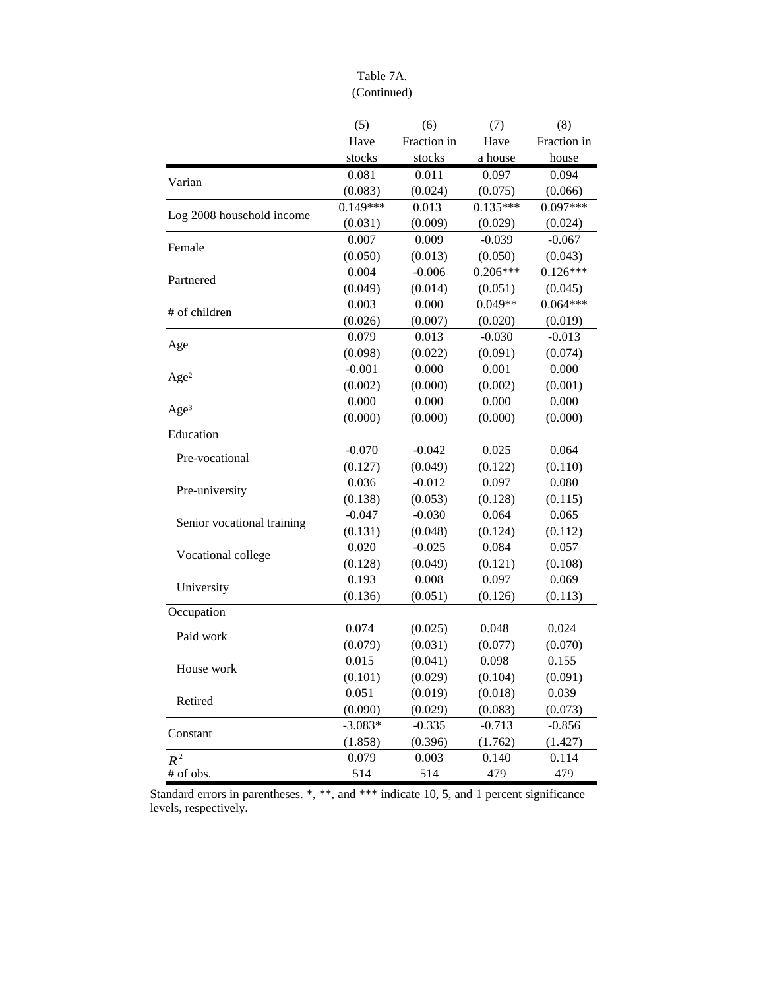## Table 7A. (Continued)

|                            | (5)        | (6)         | (7)        | (8)         |
|----------------------------|------------|-------------|------------|-------------|
|                            | Have       | Fraction in | Have       | Fraction in |
|                            | stocks     | stocks      | a house    | house       |
| Varian                     | 0.081      | 0.011       | 0.097      | 0.094       |
|                            | (0.083)    | (0.024)     | (0.075)    | (0.066)     |
|                            | $0.149***$ | 0.013       | $0.135***$ | $0.097***$  |
| Log 2008 household income  | (0.031)    | (0.009)     | (0.029)    | (0.024)     |
| Female                     | 0.007      | 0.009       | $-0.039$   | $-0.067$    |
|                            | (0.050)    | (0.013)     | (0.050)    | (0.043)     |
| Partnered                  | 0.004      | $-0.006$    | $0.206***$ | $0.126***$  |
|                            | (0.049)    | (0.014)     | (0.051)    | (0.045)     |
| # of children              | 0.003      | 0.000       | $0.049**$  | $0.064***$  |
|                            | (0.026)    | (0.007)     | (0.020)    | (0.019)     |
| Age                        | 0.079      | 0.013       | $-0.030$   | $-0.013$    |
|                            | (0.098)    | (0.022)     | (0.091)    | (0.074)     |
| Age <sup>2</sup>           | $-0.001$   | 0.000       | 0.001      | 0.000       |
|                            | (0.002)    | (0.000)     | (0.002)    | (0.001)     |
| Age <sup>3</sup>           | 0.000      | 0.000       | 0.000      | 0.000       |
|                            | (0.000)    | (0.000)     | (0.000)    | (0.000)     |
| Education                  |            |             |            |             |
| Pre-vocational             | $-0.070$   | $-0.042$    | 0.025      | 0.064       |
|                            | (0.127)    | (0.049)     | (0.122)    | (0.110)     |
| Pre-university             | 0.036      | $-0.012$    | 0.097      | 0.080       |
|                            | (0.138)    | (0.053)     | (0.128)    | (0.115)     |
| Senior vocational training | $-0.047$   | $-0.030$    | 0.064      | 0.065       |
|                            | (0.131)    | (0.048)     | (0.124)    | (0.112)     |
| Vocational college         | 0.020      | $-0.025$    | 0.084      | 0.057       |
|                            | (0.128)    | (0.049)     | (0.121)    | (0.108)     |
| University                 | 0.193      | 0.008       | 0.097      | 0.069       |
|                            | (0.136)    | (0.051)     | (0.126)    | (0.113)     |
| Occupation                 |            |             |            |             |
| Paid work                  | 0.074      | (0.025)     | 0.048      | 0.024       |
|                            | (0.079)    | (0.031)     | (0.077)    | (0.070)     |
| House work                 | 0.015      | (0.041)     | 0.098      | 0.155       |
|                            | (0.101)    | (0.029)     | (0.104)    | (0.091)     |
| Retired                    | 0.051      | (0.019)     | (0.018)    | 0.039       |
|                            | (0.090)    | (0.029)     | (0.083)    | (0.073)     |
| Constant                   | $-3.083*$  | $-0.335$    | $-0.713$   | $-0.856$    |
|                            | (1.858)    | (0.396)     | (1.762)    | (1.427)     |
| $R^2$                      | 0.079      | 0.003       | 0.140      | 0.114       |
| # of obs.                  | 514        | 514         | 479        | 479         |

Standard errors in parentheses. \*, \*\*, and \*\*\* indicate 10, 5, and 1 percent significance levels, respectively.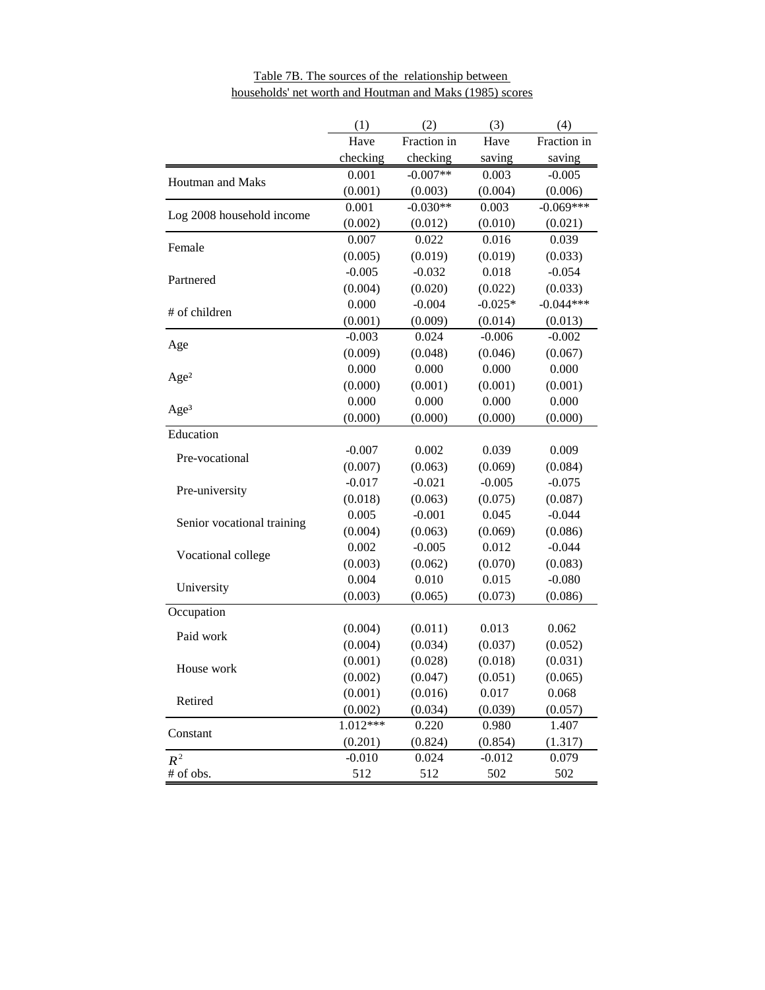|                            | (1)      | (2)         | (3)       | (4)         |
|----------------------------|----------|-------------|-----------|-------------|
|                            | Have     | Fraction in | Have      | Fraction in |
|                            | checking | checking    | saving    | saving      |
| Houtman and Maks           | 0.001    | $-0.007**$  | 0.003     | $-0.005$    |
|                            | (0.001)  | (0.003)     | (0.004)   | (0.006)     |
| Log 2008 household income  | 0.001    | $-0.030**$  | 0.003     | $-0.069***$ |
|                            | (0.002)  | (0.012)     | (0.010)   | (0.021)     |
| Female                     | 0.007    | 0.022       | 0.016     | 0.039       |
|                            | (0.005)  | (0.019)     | (0.019)   | (0.033)     |
| Partnered                  | $-0.005$ | $-0.032$    | 0.018     | $-0.054$    |
|                            | (0.004)  | (0.020)     | (0.022)   | (0.033)     |
| # of children              | 0.000    | $-0.004$    | $-0.025*$ | $-0.044***$ |
|                            | (0.001)  | (0.009)     | (0.014)   | (0.013)     |
| Age                        | $-0.003$ | 0.024       | $-0.006$  | $-0.002$    |
|                            | (0.009)  | (0.048)     | (0.046)   | (0.067)     |
| Age <sup>2</sup>           | 0.000    | 0.000       | 0.000     | 0.000       |
|                            | (0.000)  | (0.001)     | (0.001)   | (0.001)     |
| Age <sup>3</sup>           | 0.000    | 0.000       | 0.000     | 0.000       |
|                            | (0.000)  | (0.000)     | (0.000)   | (0.000)     |
| Education                  |          |             |           |             |
| Pre-vocational             | $-0.007$ | 0.002       | 0.039     | 0.009       |
|                            | (0.007)  | (0.063)     | (0.069)   | (0.084)     |
| Pre-university             | $-0.017$ | $-0.021$    | $-0.005$  | $-0.075$    |
|                            | (0.018)  | (0.063)     | (0.075)   | (0.087)     |
| Senior vocational training | 0.005    | $-0.001$    | 0.045     | $-0.044$    |
|                            | (0.004)  | (0.063)     | (0.069)   | (0.086)     |
| Vocational college         | 0.002    | $-0.005$    | 0.012     | $-0.044$    |
|                            | (0.003)  | (0.062)     | (0.070)   | (0.083)     |
| University                 | 0.004    | 0.010       | 0.015     | $-0.080$    |
|                            | (0.003)  | (0.065)     | (0.073)   | (0.086)     |
| Occupation                 |          |             |           |             |
| Paid work                  | (0.004)  | (0.011)     | 0.013     | 0.062       |
|                            | (0.004)  | (0.034)     | (0.037)   | (0.052)     |
| House work                 | (0.001)  | (0.028)     | (0.018)   | (0.031)     |
|                            | (0.002)  | (0.047)     | (0.051)   | (0.065)     |
| Retired                    | (0.001)  | (0.016)     | 0.017     | 0.068       |
|                            | (0.002)  | (0.034)     | (0.039)   | (0.057)     |
| Constant                   | 1.012*** | 0.220       | 0.980     | 1.407       |
|                            | (0.201)  | (0.824)     | (0.854)   | (1.317)     |
| $R^2$                      | $-0.010$ | 0.024       | $-0.012$  | 0.079       |
| # of obs.                  | 512      | 512         | 502       | 502         |

Table 7B. The sources of the relationship between households' net worth and Houtman and Maks (1985) scores